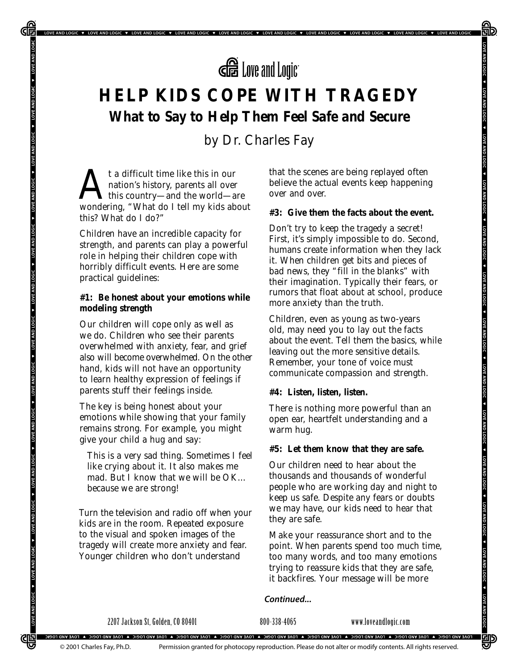

LOVE AND LOGIC V LOVE AND LOGIC V LOVE AND LOGIC V LOVE AND LOGIC V LOVE AND LOGIC V LOVE AND LOGIC V LOVE AND LOGIC V LOVE AND LOGIC V LOVE AND LOGIC V LOVE AND LOGIC V LOVE AND LOGIC V LOVE AND LOGIC V LOVE AND LOGIC V L

# **HELP KIDS COPE WITH TRAGEDY What to Say to Help Them Feel Safe and Secure**

*by Dr. Charles Fay*

t a difficult time like this in our<br>nation's history, parents all over<br>wondering "What do I tell my kids ab nation's history, parents all over this country—and the world—are wondering, "What do I tell my kids about this? What do I do?"

₲

LOVE AND LOGIC

LOVE AND LOGIC V LOVE AND LOGIC

LOVE AND LOGIC

LOVE AND LOGIC V LOVE AND LOGIC V LOVE AND LOGIC V

LOVE AND LOGIC

LOVE AND LOGIC .

LOVE AND LOGIC .

LOVE AND LOGIC V LOVE AND LOGIC

<u>CIE3</u>

Children have an incredible capacity for strength, and parents can play a powerful role in helping their children cope with horribly difficult events. Here are some practical guidelines:

# **#1: Be honest about your emotions while modeling strength**

Our children will cope only as well as we do. Children who see their parents overwhelmed with anxiety, fear, and grief also will become overwhelmed. On the other hand, kids will not have an opportunity to learn healthy expression of feelings if parents stuff their feelings inside.

The key is being honest about your emotions while showing that your family remains strong. For example, you might give your child a hug and say:

*This is a very sad thing. Sometimes I feel like crying about it. It also makes me mad. But I know that we will be OK… because we are strong!*

Turn the television and radio off when your kids are in the room. Repeated exposure to the visual and spoken images of the tragedy will create more anxiety and fear. Younger children who don't understand

that the scenes are being replayed often believe the actual events keep happening over and over.

# **#3: Give them the facts about the event.**

Don't try to keep the tragedy a secret! First, it's simply impossible to do. Second, humans create information when they lack it. When children get bits and pieces of bad news, they "fill in the blanks" with their imagination. Typically their fears, or rumors that float about at school, produce more anxiety than the truth.

Children, even as young as two-years old, may need you to lay out the facts about the event. Tell them the basics, while leaving out the more sensitive details. Remember, your tone of voice must communicate compassion *and* strength.

## **#4: Listen, listen, listen.**

There is nothing more powerful than an open ear, heartfelt understanding and a warm hug.

#### **#5: Let them know that they are safe.**

Our children need to hear about the thousands and thousands of wonderful people who are working day and night to keep us safe. Despite any fears or doubts we may have, our kids need to hear that they are safe.

Make your reassurance short and to the point. When parents spend too much time, too many words, and too many emotions trying to reassure kids that they are safe, it backfires. Your message will be more

#### *Continued...*

2207 Jackson St, Golden, CO 80401 800-338-4065 www.loveandlogic.com

吵

冠

.<br>TOAE VAD FOCIC & TOAE VAD FOCIC & TOAE VAD FOCIC & TOAE VAD FOCIC & TOAE VAD FOCIC & TOAE VAD FOCIC & TOAE VAD FOCIC & TOAE VAD FOCIC

Permission granted for photocopy reproduction. Please do not alter or modify contents. All rights reserved.